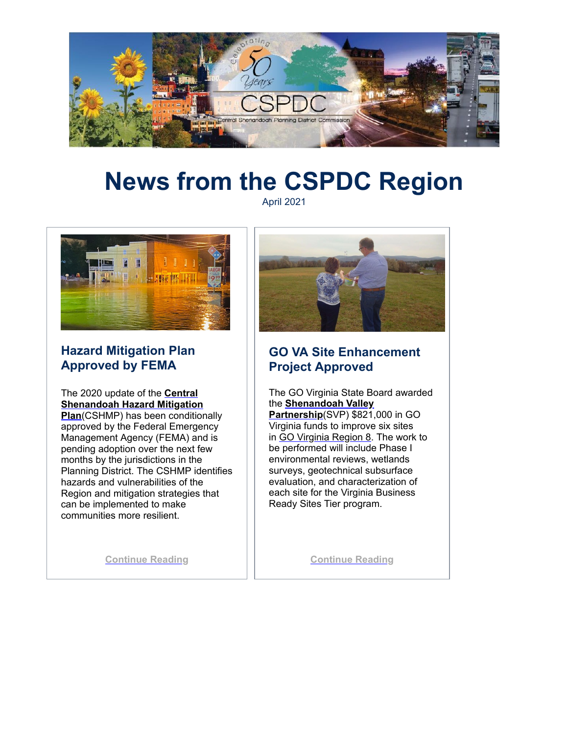

# **News from the CSPDC Region**

April 2021



## **Hazard Mitigation Plan Approved by FEMA**

The 2020 update of the **Central [Shenandoah Hazard Mitigation](http://r20.rs6.net/tn.jsp?f=001UvDO0wdO3BglG8zRFAkr6WFuRBHzwUrUlGxknnOyDz9JD9LJ-7KGdC8lqTA1lhIPTlSdG72uPaSNbT18Mjvyc2Db3SoFbHCEY9E6esH8GWLeBag6kh9NRTgfqyvFtaj7MWwM7xjAegWlAo7h2o43fwgHE6hj6yMRBvJS9oPMBV5dioaBuO9uhAZLM4apSFs8tCtMGsj8TBVYClUWfFgh5IzcXv0hm5nxFqvMpi28qTc=&c=yNqVw0fOdh2FBadl4n6v_MPbabsBAez_Pn42z6gGLS8PJWM5BNZG1g==&ch=YAz2phg07ioGCbpWBck17SmmMtmjTScRJHlKhQL3xNbhkDy7i7Crkw==) Plan**(CSHMP) has been conditionally approved by the Federal Emergency Management Agency (FEMA) and is pending adoption over the next few months by the jurisdictions in the Planning District. The CSHMP identifies hazards and vulnerabilities of the Region and mitigation strategies that can be implemented to make communities more resilient.

**[Continue Reading](http://r20.rs6.net/tn.jsp?f=001UvDO0wdO3BglG8zRFAkr6WFuRBHzwUrUlGxknnOyDz9JD9LJ-7KGdC8lqTA1lhIP0zd0d6SiVoa7rmo8EVX0XvYAiGOAuetRaVJXcnxlCz59tRHcHtpUddeKuFAHWaf5D53Y71ThSKVOI5U8rPumySu7rQlRLgK7ZDLeuLNfkChBjLlLR-uEAX3RKlfxeg7Iq8J3F-oWr_PjI7E6Fjt21iC4pqipCb_7&c=yNqVw0fOdh2FBadl4n6v_MPbabsBAez_Pn42z6gGLS8PJWM5BNZG1g==&ch=YAz2phg07ioGCbpWBck17SmmMtmjTScRJHlKhQL3xNbhkDy7i7Crkw==)**



## **GO VA Site Enhancement Project Approved**

The GO Virginia State Board awarded the **[Shenandoah Valley](http://r20.rs6.net/tn.jsp?f=001UvDO0wdO3BglG8zRFAkr6WFuRBHzwUrUlGxknnOyDz9JD9LJ-7KGdC8lqTA1lhIPSkFiTuyjN0PJBm9efFdkfpOxZJR4eKu9dfRC9TYLH8YdwC86vP23PsRrc8rZoFgMMwC74jMLbUSAqXnSUOsuxxcylXgx3Y9I691pAOPK4qS-S1ihi9_U1NC3S2QN2TRIsmtxazazK1skuVly4b5GyP0eduXYBjMY9ItfonwqhwiFKKkXcaPvn2TdBe379_GbXQwisGprixQOv-SYjYGeOw==&c=yNqVw0fOdh2FBadl4n6v_MPbabsBAez_Pn42z6gGLS8PJWM5BNZG1g==&ch=YAz2phg07ioGCbpWBck17SmmMtmjTScRJHlKhQL3xNbhkDy7i7Crkw==) Partnership**(SVP) \$821,000 in GO Virginia funds to improve six sites in [GO Virginia Region 8](http://r20.rs6.net/tn.jsp?f=001UvDO0wdO3BglG8zRFAkr6WFuRBHzwUrUlGxknnOyDz9JD9LJ-7KGdC8lqTA1lhIPSkFiTuyjN0PJBm9efFdkfpOxZJR4eKu9dfRC9TYLH8YdwC86vP23PsRrc8rZoFgMMwC74jMLbUSAqXnSUOsuxxcylXgx3Y9I691pAOPK4qS-S1ihi9_U1NC3S2QN2TRIsmtxazazK1skuVly4b5GyP0eduXYBjMY9ItfonwqhwiFKKkXcaPvn2TdBe379_GbXQwisGprixQOv-SYjYGeOw==&c=yNqVw0fOdh2FBadl4n6v_MPbabsBAez_Pn42z6gGLS8PJWM5BNZG1g==&ch=YAz2phg07ioGCbpWBck17SmmMtmjTScRJHlKhQL3xNbhkDy7i7Crkw==). The work to be performed will include Phase I environmental reviews, wetlands surveys, geotechnical subsurface evaluation, and characterization of each site for the Virginia Business Ready Sites Tier program.

**[Continue Reading](http://r20.rs6.net/tn.jsp?f=001UvDO0wdO3BglG8zRFAkr6WFuRBHzwUrUlGxknnOyDz9JD9LJ-7KGdC8lqTA1lhIPZ2gW3zZf2egB7bSA-UpQdcJYbQATVT3lrVRLggSOcwd7dOrrD7R4ltEf4Ko2VEwRL6P1ei1ZYpSQ0hjlkZThquC4pGSLxbeo8NkJaNgF279xbRoohv6o7qe1TAguI89MENW_ZZbTm4hSCNV2XrN2JIRqhLLYXROP&c=yNqVw0fOdh2FBadl4n6v_MPbabsBAez_Pn42z6gGLS8PJWM5BNZG1g==&ch=YAz2phg07ioGCbpWBck17SmmMtmjTScRJHlKhQL3xNbhkDy7i7Crkw==)**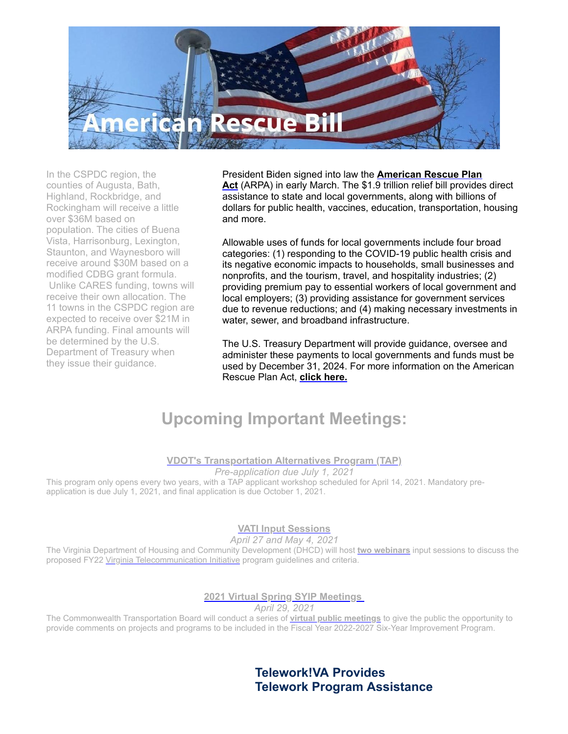

In the CSPDC region, the counties of Augusta, Bath, Highland, Rockbridge, and Rockingham will receive a little over \$36M based on population. The cities of Buena Vista, Harrisonburg, Lexington, Staunton, and Waynesboro will receive around \$30M based on a modified CDBG grant formula. Unlike CARES funding, towns will receive their own allocation. The 11 towns in the CSPDC region are expected to receive over \$21M in ARPA funding. Final amounts will be determined by the U.S. Department of Treasury when they issue their guidance.

President Biden signed into law the **American Rescue Plan** Act [\(ARPA\) in early March. The \\$1.9 trillion relief bill provides](http://r20.rs6.net/tn.jsp?f=001UvDO0wdO3BglG8zRFAkr6WFuRBHzwUrUlGxknnOyDz9JD9LJ-7KGdC8lqTA1lhIPx3jDWUSmd4F7M04DPlp6MIzkxk71TFFalHmxT3gCkx3nx8P-roi1GKf0eaK8IIs-G5NDO7TqEBMOHGMQmosMdZ9qalTGAIGmVrpvpqEW13kPVPTYuH1Mn2WU8kqZiJmTWJWDBmdoaWnOYPaYCUnIK4zHFA6H6AWpKPd6zBz-bUNbeikuoo70h7k75lkNGE7svWr-28Cl8g0rIkXuqY4ft9PQsrEDLCXiAxqsbsOFr-pubbXul4ixY7ebHT6ME9c7p_oqnbOkXZiA82trEq55Dxi9LUXxHQty3OggyX6cSub72igZntWimA==&c=yNqVw0fOdh2FBadl4n6v_MPbabsBAez_Pn42z6gGLS8PJWM5BNZG1g==&ch=YAz2phg07ioGCbpWBck17SmmMtmjTScRJHlKhQL3xNbhkDy7i7Crkw==) direct assistance to state and local governments, along with billions of dollars for public health, vaccines, education, transportation, housing and more.

Allowable uses of funds for local governments include four broad categories: (1) responding to the COVID-19 public health crisis and its negative economic impacts to households, small businesses and nonprofits, and the tourism, travel, and hospitality industries; (2) providing premium pay to essential workers of local government and local employers; (3) providing assistance for government services due to revenue reductions; and (4) making necessary investments in water, sewer, and broadband infrastructure.

The U.S. Treasury Department will provide guidance, oversee and administer these payments to local governments and funds must be used by December 31, 2024. For more information on the American Rescue Plan Act, **[click here.](http://r20.rs6.net/tn.jsp?f=001UvDO0wdO3BglG8zRFAkr6WFuRBHzwUrUlGxknnOyDz9JD9LJ-7KGdC8lqTA1lhIPx3jDWUSmd4F7M04DPlp6MIzkxk71TFFalHmxT3gCkx3nx8P-roi1GKf0eaK8IIs-G5NDO7TqEBMOHGMQmosMdZ9qalTGAIGmVrpvpqEW13kPVPTYuH1Mn2WU8kqZiJmTWJWDBmdoaWnOYPaYCUnIK4zHFA6H6AWpKPd6zBz-bUNbeikuoo70h7k75lkNGE7svWr-28Cl8g0rIkXuqY4ft9PQsrEDLCXiAxqsbsOFr-pubbXul4ixY7ebHT6ME9c7p_oqnbOkXZiA82trEq55Dxi9LUXxHQty3OggyX6cSub72igZntWimA==&c=yNqVw0fOdh2FBadl4n6v_MPbabsBAez_Pn42z6gGLS8PJWM5BNZG1g==&ch=YAz2phg07ioGCbpWBck17SmmMtmjTScRJHlKhQL3xNbhkDy7i7Crkw==)**

## **Upcoming Important Meetings:**

#### **[VDOT's Transportation Alternatives Program \(TAP\)](http://r20.rs6.net/tn.jsp?f=001UvDO0wdO3BglG8zRFAkr6WFuRBHzwUrUlGxknnOyDz9JD9LJ-7KGdL-jCVPZqvS0ug9It71AANlrt5x2RM0L669m8PG9PWtIUNPTayBQUwbwEwIAmOVsCARkI_a18oy-jZr1AHAMoyr4hU0wAM_0SZfZkM2oSE5Z2AqVW4PeCH1rjk5qJ-pGzANd-qN00ui55XcTpR_5uUe_UgDPefyDyiRWA-_g1xcpHGl5uFCYMDXgyT0U8pVXdOfC1pUZCLT75UdOjvk4Bp6-PAiAkJCZTlsyz2C0yGJfRDccwyojoGPWs6n2rvR6BjXSCSSnUbbB2hg6Wl_CZIb7sMg7cLN-IQ==&c=yNqVw0fOdh2FBadl4n6v_MPbabsBAez_Pn42z6gGLS8PJWM5BNZG1g==&ch=YAz2phg07ioGCbpWBck17SmmMtmjTScRJHlKhQL3xNbhkDy7i7Crkw==)**

*Pre-application due July 1, 2021*

This program only opens every two years, with a TAP applicant workshop scheduled for April 14, 2021. Mandatory preapplication is due July 1, 2021, and final application is due October 1, 2021.

#### **[VATI Input Sessions](http://r20.rs6.net/tn.jsp?f=001UvDO0wdO3BglG8zRFAkr6WFuRBHzwUrUlGxknnOyDz9JD9LJ-7KGdE-pzv8M5eIcoY5ks1N_z5VEGlJ8aUTL45IhQQk1innK1EAQxPc29jZo1nucPRbBssBQx7FO21Et1kGEh5SQBV8gEJqIkgyxkUSwJ9LZGp4O&c=yNqVw0fOdh2FBadl4n6v_MPbabsBAez_Pn42z6gGLS8PJWM5BNZG1g==&ch=YAz2phg07ioGCbpWBck17SmmMtmjTScRJHlKhQL3xNbhkDy7i7Crkw==)**

*April 27 and May 4, 2021*

The Virginia Department of Housing and Community Development (DHCD) will host **[two webinars](http://r20.rs6.net/tn.jsp?f=001UvDO0wdO3BglG8zRFAkr6WFuRBHzwUrUlGxknnOyDz9JD9LJ-7KGdE-pzv8M5eIcoY5ks1N_z5VEGlJ8aUTL45IhQQk1innK1EAQxPc29jZo1nucPRbBssBQx7FO21Et1kGEh5SQBV8gEJqIkgyxkUSwJ9LZGp4O&c=yNqVw0fOdh2FBadl4n6v_MPbabsBAez_Pn42z6gGLS8PJWM5BNZG1g==&ch=YAz2phg07ioGCbpWBck17SmmMtmjTScRJHlKhQL3xNbhkDy7i7Crkw==)** input sessions to discuss the proposed FY22 [Virginia Telecommunication Initiative](http://r20.rs6.net/tn.jsp?f=001UvDO0wdO3BglG8zRFAkr6WFuRBHzwUrUlGxknnOyDz9JD9LJ-7KGdE-pzv8M5eIcoY5ks1N_z5VEGlJ8aUTL45IhQQk1innK1EAQxPc29jZo1nucPRbBssBQx7FO21Et1kGEh5SQBV8gEJqIkgyxkUSwJ9LZGp4O&c=yNqVw0fOdh2FBadl4n6v_MPbabsBAez_Pn42z6gGLS8PJWM5BNZG1g==&ch=YAz2phg07ioGCbpWBck17SmmMtmjTScRJHlKhQL3xNbhkDy7i7Crkw==) program guidelines and criteria.

#### **[2021 Virtual Spring SYIP Meetings](http://r20.rs6.net/tn.jsp?f=001UvDO0wdO3BglG8zRFAkr6WFuRBHzwUrUlGxknnOyDz9JD9LJ-7KGdC8lqTA1lhIP4-I5ae5rzdCX-qBJH_S77Zk53_gG_uymm3UMIOP43A31oD_lQcmCLBqFcTqvt-JA9P_IsIVsv1TaplDTHMtPUCm2N_gU7WxMR6ZXryF2_Et0PDGZfpafM62AAwXxqyvXHM2WL7nyhf3YPWWJ5dNquA==&c=yNqVw0fOdh2FBadl4n6v_MPbabsBAez_Pn42z6gGLS8PJWM5BNZG1g==&ch=YAz2phg07ioGCbpWBck17SmmMtmjTScRJHlKhQL3xNbhkDy7i7Crkw==)**

*April 29, 2021*

The Commonwealth Transportation Board will conduct a series of **[virtual public meetings](http://r20.rs6.net/tn.jsp?f=001UvDO0wdO3BglG8zRFAkr6WFuRBHzwUrUlGxknnOyDz9JD9LJ-7KGdC8lqTA1lhIP4-I5ae5rzdCX-qBJH_S77Zk53_gG_uymm3UMIOP43A31oD_lQcmCLBqFcTqvt-JA9P_IsIVsv1TaplDTHMtPUCm2N_gU7WxMR6ZXryF2_Et0PDGZfpafM62AAwXxqyvXHM2WL7nyhf3YPWWJ5dNquA==&c=yNqVw0fOdh2FBadl4n6v_MPbabsBAez_Pn42z6gGLS8PJWM5BNZG1g==&ch=YAz2phg07ioGCbpWBck17SmmMtmjTScRJHlKhQL3xNbhkDy7i7Crkw==)** to give the public the opportunity to provide comments on projects and programs to be included in the Fiscal Year 2022-2027 Six-Year Improvement Program.

### **Telework!VA Provides Telework Program Assistance**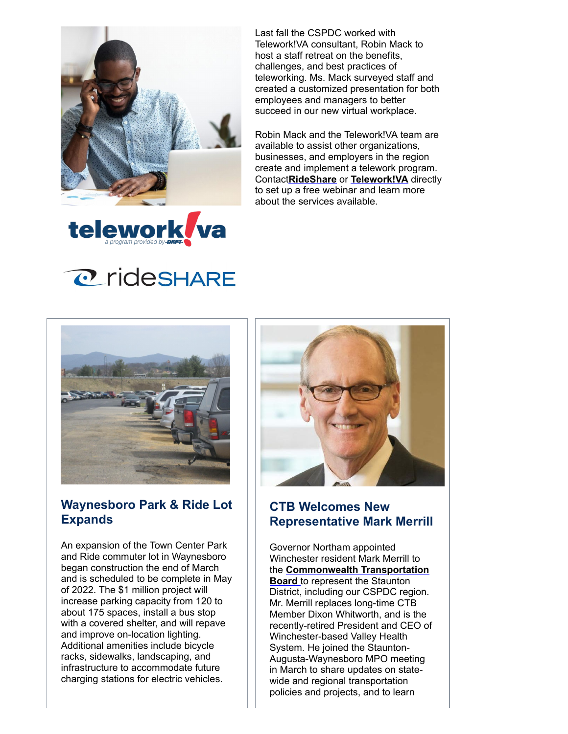

Last fall the CSPDC worked with Telework!VA consultant, Robin Mack to host a staff retreat on the benefits, challenges, and best practices of teleworking. Ms. Mack surveyed staff and created a customized presentation for both employees and managers to better succeed in our new virtual workplace.

Robin Mack and the Telework!VA team are available to assist other organizations, businesses, and employers in the region create and implement a telework program. Contact**[RideShare](http://r20.rs6.net/tn.jsp?f=001UvDO0wdO3BglG8zRFAkr6WFuRBHzwUrUlGxknnOyDz9JD9LJ-7KGdFS5QWrJ_IYsT1FsuSBoUNg9YDu5fwH1mqv2EUNDp3xOlWzpo6bj_f-vGr7Z4JrLEDhh-qMHMH-9a6GlaH5zA5MS2ETnKYOVlw==&c=yNqVw0fOdh2FBadl4n6v_MPbabsBAez_Pn42z6gGLS8PJWM5BNZG1g==&ch=YAz2phg07ioGCbpWBck17SmmMtmjTScRJHlKhQL3xNbhkDy7i7Crkw==)** or **[Telework!VA](http://r20.rs6.net/tn.jsp?f=001UvDO0wdO3BglG8zRFAkr6WFuRBHzwUrUlGxknnOyDz9JD9LJ-7KGdC8lqTA1lhIPNJuGI4EeSG2JuST4fk-hUHC-56bNnkGJ7v_oqUFTkK2sJmKvSO2IBbkVoSi03F_A5j6QbHRT08gkcwAVrxV2_w==&c=yNqVw0fOdh2FBadl4n6v_MPbabsBAez_Pn42z6gGLS8PJWM5BNZG1g==&ch=YAz2phg07ioGCbpWBck17SmmMtmjTScRJHlKhQL3xNbhkDy7i7Crkw==)** directly to set up a free webinar and learn more about the services available.



# **@rideSHARE**



#### **Waynesboro Park & Ride Lot Expands**

An expansion of the Town Center Park and Ride commuter lot in Waynesboro began construction the end of March and is scheduled to be complete in May of 2022. The \$1 million project will increase parking capacity from 120 to about 175 spaces, install a bus stop with a covered shelter, and will repave and improve on-location lighting. Additional amenities include bicycle racks, sidewalks, landscaping, and infrastructure to accommodate future charging stations for electric vehicles.



### **CTB Welcomes New Representative Mark Merrill**

Governor Northam appointed Winchester resident Mark Merrill to the **[Commonwealth Transportation](http://r20.rs6.net/tn.jsp?f=001UvDO0wdO3BglG8zRFAkr6WFuRBHzwUrUlGxknnOyDz9JD9LJ-7KGdOYkuavWn6tLG58yP_SpNxHhpOivBSzlEO4SZivJzktNtlQUBfZ02LOb3gdExS3F8XhJ5ICf20nVBa9nRdP1vYXeOLroj2mUyw==&c=yNqVw0fOdh2FBadl4n6v_MPbabsBAez_Pn42z6gGLS8PJWM5BNZG1g==&ch=YAz2phg07ioGCbpWBck17SmmMtmjTScRJHlKhQL3xNbhkDy7i7Crkw==) Board** to represent the Staunton District, including our CSPDC region. Mr. Merrill replaces long-time CTB Member Dixon Whitworth, and is the recently-retired President and CEO of Winchester-based Valley Health System. He joined the Staunton-Augusta-Waynesboro MPO meeting in March to share updates on statewide and regional transportation policies and projects, and to learn